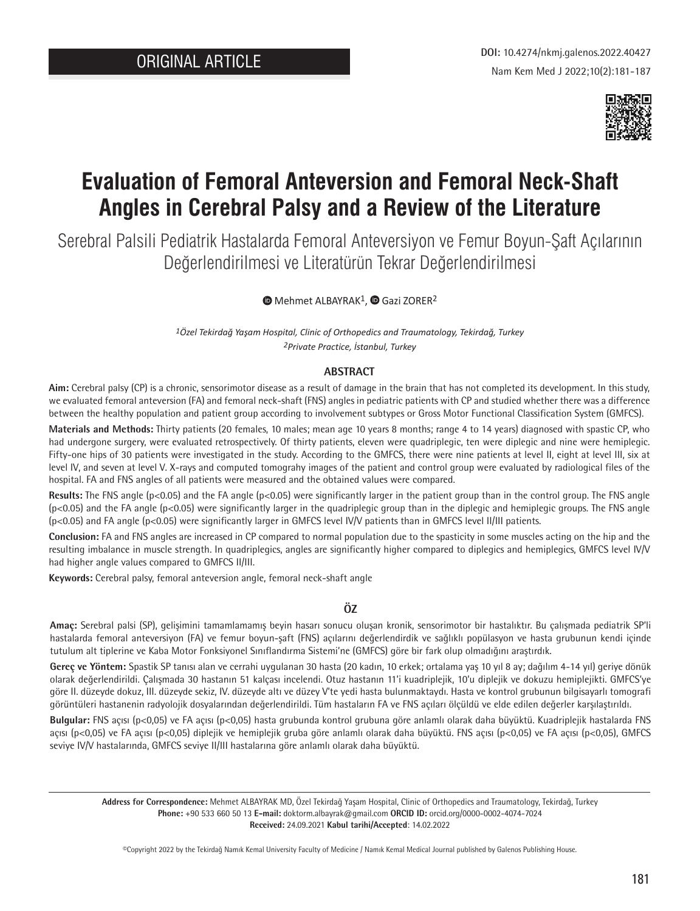

# **Evaluation of Femoral Anteversion and Femoral Neck-Shaft Angles in Cerebral Palsy and a Review of the Literature**

Serebral Palsili Pediatrik Hastalarda Femoral Anteversiyon ve Femur Boyun-Şaft Açılarının Değerlendirilmesi ve Literatürün Tekrar Değerlendirilmesi

### **MehmetALBAYRAK<sup>1</sup>, @ [G](https://orcid.org/0000-0003-4906-5019)azi ZORER<sup>2</sup>**

*1Özel Tekirdağ Yaşam Hospital, Clinic of Orthopedics and Traumatology, Tekirdağ, Turkey 2Private Practice, İstanbul, Turkey*

#### **ABSTRACT**

**Aim:** Cerebral palsy (CP) is a chronic, sensorimotor disease as a result of damage in the brain that has not completed its development. In this study, we evaluated femoral anteversion (FA) and femoral neck-shaft (FNS) angles in pediatric patients with CP and studied whether there was a difference between the healthy population and patient group according to involvement subtypes or Gross Motor Functional Classification System (GMFCS).

**Materials and Methods:** Thirty patients (20 females, 10 males; mean age 10 years 8 months; range 4 to 14 years) diagnosed with spastic CP, who had undergone surgery, were evaluated retrospectively. Of thirty patients, eleven were quadriplegic, ten were diplegic and nine were hemiplegic. Fifty-one hips of 30 patients were investigated in the study. According to the GMFCS, there were nine patients at level II, eight at level III, six at level IV, and seven at level V. X-rays and computed tomograhy images of the patient and control group were evaluated by radiological files of the hospital. FA and FNS angles of all patients were measured and the obtained values were compared.

**Results:** The FNS angle (p<0.05) and the FA angle (p<0.05) were significantly larger in the patient group than in the control group. The FNS angle (p<0.05) and the FA angle (p<0.05) were significantly larger in the quadriplegic group than in the diplegic and hemiplegic groups. The FNS angle (p<0.05) and FA angle (p<0.05) were significantly larger in GMFCS level IV/V patients than in GMFCS level II/III patients.

**Conclusion:** FA and FNS angles are increased in CP compared to normal population due to the spasticity in some muscles acting on the hip and the resulting imbalance in muscle strength. In quadriplegics, angles are significantly higher compared to diplegics and hemiplegics, GMFCS level IV/V had higher angle values compared to GMFCS II/III.

**Keywords:** Cerebral palsy, femoral anteversion angle, femoral neck-shaft angle

#### **ÖZ**

**Amaç:** Serebral palsi (SP), gelişimini tamamlamamış beyin hasarı sonucu oluşan kronik, sensorimotor bir hastalıktır. Bu çalışmada pediatrik SP'li hastalarda femoral anteversiyon (FA) ve femur boyun-şaft (FNS) açılarını değerlendirdik ve sağlıklı popülasyon ve hasta grubunun kendi içinde tutulum alt tiplerine ve Kaba Motor Fonksiyonel Sınıflandırma Sistemi'ne (GMFCS) göre bir fark olup olmadığını araştırdık.

**Gereç ve Yöntem:** Spastik SP tanısı alan ve cerrahi uygulanan 30 hasta (20 kadın, 10 erkek; ortalama yaş 10 yıl 8 ay; dağılım 4-14 yıl) geriye dönük olarak değerlendirildi. Çalışmada 30 hastanın 51 kalçası incelendi. Otuz hastanın 11'i kuadriplejik, 10'u diplejik ve dokuzu hemiplejikti. GMFCS'ye göre II. düzeyde dokuz, III. düzeyde sekiz, IV. düzeyde altı ve düzey V'te yedi hasta bulunmaktaydı. Hasta ve kontrol grubunun bilgisayarlı tomografi görüntüleri hastanenin radyolojik dosyalarından değerlendirildi. Tüm hastaların FA ve FNS açıları ölçüldü ve elde edilen değerler karşılaştırıldı.

**Bulgular:** FNS açısı (p<0,05) ve FA açısı (p<0,05) hasta grubunda kontrol grubuna göre anlamlı olarak daha büyüktü. Kuadriplejik hastalarda FNS açısı (p<0,05) ve FA açısı (p<0,05) diplejik ve hemiplejik gruba göre anlamlı olarak daha büyüktü. FNS açısı (p<0,05) ve FA açısı (p<0,05), GMFCS seviye IV/V hastalarında, GMFCS seviye II/III hastalarına göre anlamlı olarak daha büyüktü.

**Address for Correspondence:** Mehmet ALBAYRAK MD, Özel Tekirdağ Yaşam Hospital, Clinic of Orthopedics and Traumatology, Tekirdağ, Turkey **Phone:** +90 533 660 50 13 **E-mail:** doktorm.albayrak@gmail.com **ORCID ID:** orcid.org/0000-0002-4074-7024 **Received:** 24.09.2021 **Kabul tarihi/Accepted**: 14.02.2022

©Copyright 2022 by the Tekirdağ Namık Kemal University Faculty of Medicine / Namık Kemal Medical Journal published by Galenos Publishing House.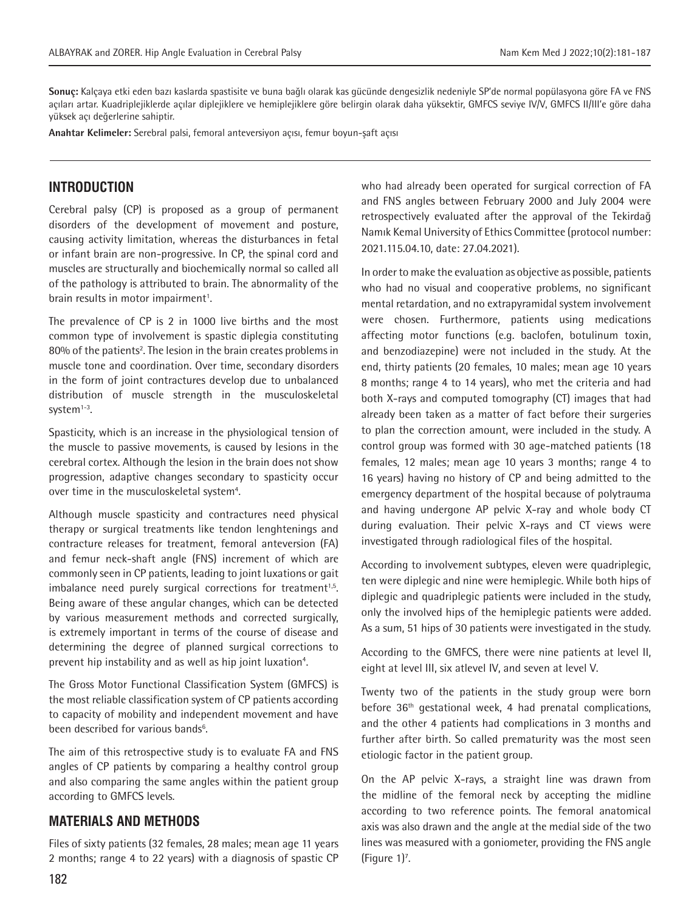**Sonuç:** Kalçaya etki eden bazı kaslarda spastisite ve buna bağlı olarak kas gücünde dengesizlik nedeniyle SP'de normal popülasyona göre FA ve FNS açıları artar. Kuadriplejiklerde açılar diplejiklere ve hemiplejiklere göre belirgin olarak daha yüksektir, GMFCS seviye IV/V, GMFCS II/III'e göre daha yüksek açı değerlerine sahiptir.

**Anahtar Kelimeler:** Serebral palsi, femoral anteversiyon açısı, femur boyun-şaft açısı

# **INTRODUCTION**

Cerebral palsy (CP) is proposed as a group of permanent disorders of the development of movement and posture, causing activity limitation, whereas the disturbances in fetal or infant brain are non-progressive. In CP, the spinal cord and muscles are structurally and biochemically normal so called all of the pathology is attributed to brain. The abnormality of the brain results in motor impairment<sup>1</sup>.

The prevalence of CP is 2 in 1000 live births and the most common type of involvement is spastic diplegia constituting 80% of the patients<sup>2</sup>. The lesion in the brain creates problems in muscle tone and coordination. Over time, secondary disorders in the form of joint contractures develop due to unbalanced distribution of muscle strength in the musculoskeletal system $1-3$ .

Spasticity, which is an increase in the physiological tension of the muscle to passive movements, is caused by lesions in the cerebral cortex. Although the lesion in the brain does not show progression, adaptive changes secondary to spasticity occur over time in the musculoskeletal system<sup>4</sup>.

Although muscle spasticity and contractures need physical therapy or surgical treatments like tendon lenghtenings and contracture releases for treatment, femoral anteversion (FA) and femur neck-shaft angle (FNS) increment of which are commonly seen in CP patients, leading to joint luxations or gait imbalance need purely surgical corrections for treatment<sup>1,5</sup>. Being aware of these angular changes, which can be detected by various measurement methods and corrected surgically, is extremely important in terms of the course of disease and determining the degree of planned surgical corrections to prevent hip instability and as well as hip joint luxation<sup>4</sup>.

The Gross Motor Functional Classification System (GMFCS) is the most reliable classification system of CP patients according to capacity of mobility and independent movement and have been described for various bands<sup>6</sup>.

The aim of this retrospective study is to evaluate FA and FNS angles of CP patients by comparing a healthy control group and also comparing the same angles within the patient group according to GMFCS levels.

## **MATERIALS AND METHODS**

Files of sixty patients (32 females, 28 males; mean age 11 years 2 months; range 4 to 22 years) with a diagnosis of spastic CP who had already been operated for surgical correction of FA and FNS angles between February 2000 and July 2004 were retrospectively evaluated after the approval of the Tekirdağ Namık Kemal University of Ethics Committee (protocol number: 2021.115.04.10, date: 27.04.2021).

In order to make the evaluation as objective as possible, patients who had no visual and cooperative problems, no significant mental retardation, and no extrapyramidal system involvement were chosen. Furthermore, patients using medications affecting motor functions (e.g. baclofen, botulinum toxin, and benzodiazepine) were not included in the study. At the end, thirty patients (20 females, 10 males; mean age 10 years 8 months; range 4 to 14 years), who met the criteria and had both X-rays and computed tomography (CT) images that had already been taken as a matter of fact before their surgeries to plan the correction amount, were included in the study. A control group was formed with 30 age-matched patients (18 females, 12 males; mean age 10 years 3 months; range 4 to 16 years) having no history of CP and being admitted to the emergency department of the hospital because of polytrauma and having undergone AP pelvic X-ray and whole body CT during evaluation. Their pelvic X-rays and CT views were investigated through radiological files of the hospital.

According to involvement subtypes, eleven were quadriplegic, ten were diplegic and nine were hemiplegic. While both hips of diplegic and quadriplegic patients were included in the study, only the involved hips of the hemiplegic patients were added. As a sum, 51 hips of 30 patients were investigated in the study.

According to the GMFCS, there were nine patients at level II, eight at level III, six atlevel IV, and seven at level V.

Twenty two of the patients in the study group were born before 36<sup>th</sup> gestational week, 4 had prenatal complications, and the other 4 patients had complications in 3 months and further after birth. So called prematurity was the most seen etiologic factor in the patient group.

On the AP pelvic X-rays, a straight line was drawn from the midline of the femoral neck by accepting the midline according to two reference points. The femoral anatomical axis was also drawn and the angle at the medial side of the two lines was measured with a goniometer, providing the FNS angle  $(Figure 1)<sup>7</sup>$ .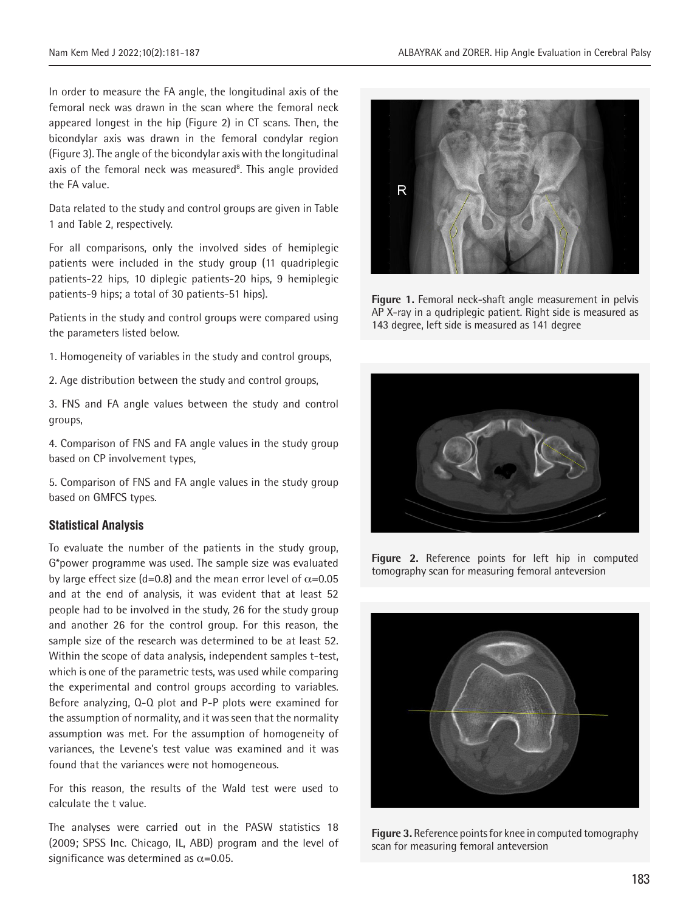In order to measure the FA angle, the longitudinal axis of the femoral neck was drawn in the scan where the femoral neck appeared longest in the hip (Figure 2) in CT scans. Then, the bicondylar axis was drawn in the femoral condylar region (Figure 3). The angle of the bicondylar axis with the longitudinal axis of the femoral neck was measured<sup>8</sup>. This angle provided the FA value.

Data related to the study and control groups are given in Table 1 and Table 2, respectively.

For all comparisons, only the involved sides of hemiplegic patients were included in the study group (11 quadriplegic patients-22 hips, 10 diplegic patients-20 hips, 9 hemiplegic patients-9 hips; a total of 30 patients-51 hips).

Patients in the study and control groups were compared using the parameters listed below.

1. Homogeneity of variables in the study and control groups,

2. Age distribution between the study and control groups,

3. FNS and FA angle values between the study and control groups,

4. Comparison of FNS and FA angle values in the study group based on CP involvement types,

5. Comparison of FNS and FA angle values in the study group based on GMFCS types.

#### **Statistical Analysis**

To evaluate the number of the patients in the study group, G\*power programme was used. The sample size was evaluated by large effect size (d=0.8) and the mean error level of  $\alpha$ =0.05 and at the end of analysis, it was evident that at least 52 people had to be involved in the study, 26 for the study group and another 26 for the control group. For this reason, the sample size of the research was determined to be at least 52. Within the scope of data analysis, independent samples t-test, which is one of the parametric tests, was used while comparing the experimental and control groups according to variables. Before analyzing, Q-Q plot and P-P plots were examined for the assumption of normality, and it was seen that the normality assumption was met. For the assumption of homogeneity of variances, the Levene's test value was examined and it was found that the variances were not homogeneous.

For this reason, the results of the Wald test were used to calculate the t value.

The analyses were carried out in the PASW statistics 18 (2009; SPSS Inc. Chicago, IL, ABD) program and the level of significance was determined as  $\alpha$ =0.05.



**Figure 1.** Femoral neck-shaft angle measurement in pelvis AP X-ray in a qudriplegic patient. Right side is measured as 143 degree, left side is measured as 141 degree







**Figure 3.** Reference points for knee in computed tomography scan for measuring femoral anteversion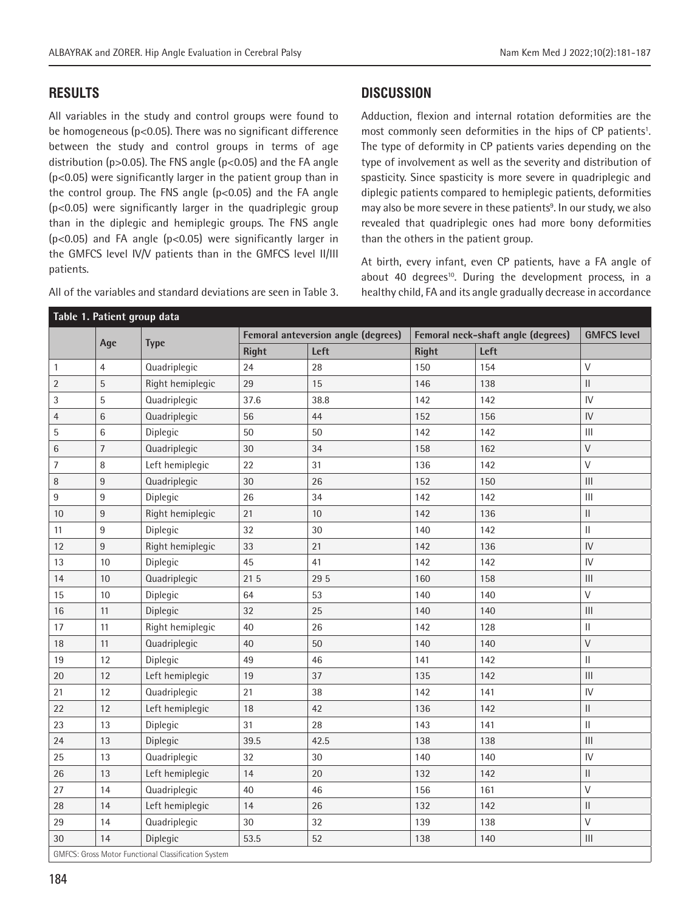## **RESULTS**

All variables in the study and control groups were found to be homogeneous (p<0.05). There was no significant difference between the study and control groups in terms of age distribution (p>0.05). The FNS angle (p<0.05) and the FA angle (p<0.05) were significantly larger in the patient group than in the control group. The FNS angle  $(p<0.05)$  and the FA angle (p<0.05) were significantly larger in the quadriplegic group than in the diplegic and hemiplegic groups. The FNS angle (p<0.05) and FA angle (p<0.05) were significantly larger in the GMFCS level IV/V patients than in the GMFCS level II/III patients.

All of the variables and standard deviations are seen in Table 3.

### **DISCUSSION**

Adduction, flexion and internal rotation deformities are the most commonly seen deformities in the hips of CP patients<sup>1</sup>. The type of deformity in CP patients varies depending on the type of involvement as well as the severity and distribution of spasticity. Since spasticity is more severe in quadriplegic and diplegic patients compared to hemiplegic patients, deformities may also be more severe in these patients<sup>9</sup>. In our study, we also revealed that quadriplegic ones had more bony deformities than the others in the patient group.

At birth, every infant, even CP patients, have a FA angle of about 40 degrees<sup>10</sup>. During the development process, in a healthy child, FA and its angle gradually decrease in accordance

| Table 1. Patient group data                         |                |                  |                                     |      |                                    |      |                                    |  |
|-----------------------------------------------------|----------------|------------------|-------------------------------------|------|------------------------------------|------|------------------------------------|--|
|                                                     |                | <b>Type</b>      | Femoral anteversion angle (degrees) |      | Femoral neck-shaft angle (degrees) |      | <b>GMFCS level</b>                 |  |
|                                                     | Age            |                  | <b>Right</b>                        | Left | <b>Right</b>                       | Left |                                    |  |
| $\mathbf{1}$                                        | $\overline{4}$ | Quadriplegic     | 24                                  | 28   | 150                                | 154  | $\vee$                             |  |
| $\overline{2}$                                      | 5              | Right hemiplegic | 29                                  | 15   | 146                                | 138  | $\ensuremath{\mathsf{II}}$         |  |
| 3                                                   | 5              | Quadriplegic     | 37.6                                | 38.8 | 142                                | 142  | IV                                 |  |
| $\overline{4}$                                      | $\,$ 6 $\,$    | Quadriplegic     | 56                                  | 44   | 152                                | 156  | $\mathsf{IV}$                      |  |
| 5                                                   | $6\phantom{1}$ | Diplegic         | 50                                  | 50   | 142                                | 142  | $\  \ ^2$                          |  |
| $6\phantom{1}$                                      | $\overline{7}$ | Quadriplegic     | 30                                  | 34   | 158                                | 162  | $\vee$                             |  |
| $\overline{7}$                                      | 8              | Left hemiplegic  | 22                                  | 31   | 136                                | 142  | $\vee$                             |  |
| 8                                                   | 9              | Quadriplegic     | 30                                  | 26   | 152                                | 150  | $\ensuremath{\mathsf{III}}\xspace$ |  |
| $9\,$                                               | 9              | Diplegic         | 26                                  | 34   | 142                                | 142  | $\mathbf{III}$                     |  |
| 10                                                  | 9              | Right hemiplegic | 21                                  | 10   | 142                                | 136  | $\mathbf{II}$                      |  |
| 11                                                  | 9              | Diplegic         | 32                                  | 30   | 140                                | 142  | $\mathbf{II}$                      |  |
| 12                                                  | 9              | Right hemiplegic | 33                                  | 21   | 142                                | 136  | $\mathsf{IV}$                      |  |
| 13                                                  | 10             | Diplegic         | 45                                  | 41   | 142                                | 142  | $\mathsf{IV}$                      |  |
| 14                                                  | 10             | Quadriplegic     | 215                                 | 29 5 | 160                                | 158  | $\ensuremath{\mathsf{III}}\xspace$ |  |
| 15                                                  | 10             | Diplegic         | 64                                  | 53   | 140                                | 140  | $\vee$                             |  |
| 16                                                  | 11             | Diplegic         | 32                                  | 25   | 140                                | 140  | $\ensuremath{\mathsf{III}}\xspace$ |  |
| 17                                                  | 11             | Right hemiplegic | 40                                  | 26   | 142                                | 128  | $\ensuremath{\mathsf{II}}$         |  |
| 18                                                  | 11             | Quadriplegic     | 40                                  | 50   | 140                                | 140  | $\mathsf V$                        |  |
| 19                                                  | 12             | Diplegic         | 49                                  | 46   | 141                                | 142  | $\mathbf{II}$                      |  |
| 20                                                  | 12             | Left hemiplegic  | 19                                  | 37   | 135                                | 142  | $\  \ $                            |  |
| 21                                                  | 12             | Quadriplegic     | 21                                  | 38   | 142                                | 141  | IV                                 |  |
| 22                                                  | 12             | Left hemiplegic  | 18                                  | 42   | 136                                | 142  | $\ensuremath{\mathsf{II}}$         |  |
| 23                                                  | 13             | Diplegic         | 31                                  | 28   | 143                                | 141  | $\ensuremath{\mathsf{II}}$         |  |
| 24                                                  | 13             | Diplegic         | 39.5                                | 42.5 | 138                                | 138  | $\ensuremath{\mathsf{III}}\xspace$ |  |
| 25                                                  | 13             | Quadriplegic     | 32                                  | 30   | 140                                | 140  | $\mathsf{IV}$                      |  |
| 26                                                  | 13             | Left hemiplegic  | 14                                  | 20   | 132                                | 142  | $\ensuremath{\mathsf{II}}$         |  |
| 27                                                  | 14             | Quadriplegic     | 40                                  | 46   | 156                                | 161  | V                                  |  |
| 28                                                  | 14             | Left hemiplegic  | 14                                  | 26   | 132                                | 142  | $\mathbf{II}$                      |  |
| 29                                                  | 14             | Quadriplegic     | 30                                  | 32   | 139                                | 138  | $\vee$                             |  |
| 30                                                  | 14             | Diplegic         | 53.5                                | 52   | 138                                | 140  | $\mathop{\rm III}\nolimits$        |  |
| GMFCS: Gross Motor Functional Classification System |                |                  |                                     |      |                                    |      |                                    |  |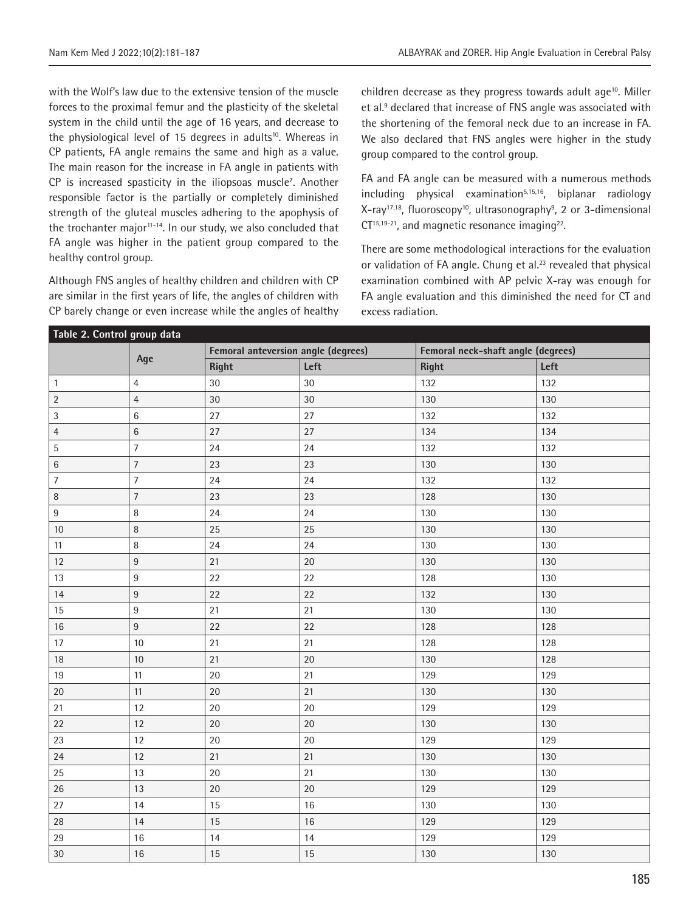with the Wolf's law due to the extensive tension of the muscle forces to the proximal femur and the plasticity of the skeletal system in the child until the age of 16 years, and decrease to the physiological level of 15 degrees in adults<sup>10</sup>. Whereas in CP patients, FA angle remains the same and high as a value. The main reason for the increase in FA angle in patients with CP is increased spasticity in the iliopsoas muscle<sup>7</sup>. Another responsible factor is the partially or completely diminished strength of the gluteal muscles adhering to the apophysis of the trochanter major<sup>11-14</sup>. In our study, we also concluded that FA angle was higher in the patient group compared to the healthy control group.

Although FNS angles of healthy children and children with CP are similar in the first years of life, the angles of children with CP barely change or even increase while the angles of healthy children decrease as they progress towards adult age<sup>10</sup>. Miller et al.<sup>9</sup> declared that increase of FNS angle was associated with the shortening of the femoral neck due to an increase in FA. We also declared that FNS angles were higher in the study group compared to the control group.

FA and FA angle can be measured with a numerous methods including physical examination $5,15,16$ , biplanar radiology X-ray<sup>17,18</sup>, fluoroscopy<sup>10</sup>, ultrasonography<sup>9</sup>, 2 or 3-dimensional CT<sup>15,19-21</sup>, and magnetic resonance imaging<sup>22</sup>.

There are some methodological interactions for the evaluation or validation of FA angle. Chung et al.<sup>23</sup> revealed that physical examination combined with AP pelvic X-ray was enough for FA angle evaluation and this diminished the need for CT and excess radiation.

| Table 2. Control group data |                  |                                     |      |                                    |      |  |  |
|-----------------------------|------------------|-------------------------------------|------|------------------------------------|------|--|--|
|                             | Age              | Femoral anteversion angle (degrees) |      | Femoral neck-shaft angle (degrees) |      |  |  |
|                             |                  | <b>Right</b>                        | Left | <b>Right</b>                       | Left |  |  |
| $\mathbf{1}$                | $\overline{4}$   | 30                                  | 30   | 132                                | 132  |  |  |
| $\overline{2}$              | $\overline{4}$   | 30                                  | 30   | 130                                | 130  |  |  |
| 3                           | $6\,$            | 27                                  | 27   | 132                                | 132  |  |  |
| $\overline{4}$              | $\,6\,$          | 27                                  | 27   | 134                                | 134  |  |  |
| $\mathbf 5$                 | $\overline{7}$   | 24                                  | 24   | 132                                | 132  |  |  |
| $\,6\,$                     | $\overline{7}$   | 23                                  | 23   | 130                                | 130  |  |  |
| $\overline{7}$              | $\overline{7}$   | 24                                  | 24   | 132                                | 132  |  |  |
| $\, 8$                      | $\overline{7}$   | 23                                  | 23   | 128                                | 130  |  |  |
| $\boldsymbol{9}$            | 8                | 24                                  | 24   | 130                                | 130  |  |  |
| 10                          | $\, 8$           | 25                                  | 25   | 130                                | 130  |  |  |
| 11                          | 8                | 24                                  | 24   | 130                                | 130  |  |  |
| 12                          | $\boldsymbol{9}$ | 21                                  | 20   | 130                                | 130  |  |  |
| 13                          | $\boldsymbol{9}$ | 22                                  | 22   | 128                                | 130  |  |  |
| 14                          | $\boldsymbol{9}$ | 22                                  | 22   | 132                                | 130  |  |  |
| 15                          | $\boldsymbol{9}$ | 21                                  | 21   | 130                                | 130  |  |  |
| 16                          | $\boldsymbol{9}$ | 22                                  | 22   | 128                                | 128  |  |  |
| 17                          | 10               | 21                                  | 21   | 128                                | 128  |  |  |
| 18                          | 10               | 21                                  | 20   | 130                                | 128  |  |  |
| 19                          | 11               | 20                                  | 21   | 129                                | 129  |  |  |
| $20\,$                      | 11               | 20                                  | 21   | 130                                | 130  |  |  |
| 21                          | 12               | 20                                  | 20   | 129                                | 129  |  |  |
| $22\,$                      | 12               | 20                                  | 20   | 130                                | 130  |  |  |
| 23                          | 12               | 20                                  | 20   | 129                                | 129  |  |  |
| 24                          | 12               | 21                                  | 21   | 130                                | 130  |  |  |
| 25                          | 13               | 20                                  | 21   | 130                                | 130  |  |  |
| 26                          | 13               | 20                                  | 20   | 129                                | 129  |  |  |
| 27                          | 14               | 15                                  | 16   | 130                                | 130  |  |  |
| 28                          | 14               | 15                                  | 16   | 129                                | 129  |  |  |
| 29                          | $16\,$           | 14                                  | 14   | 129                                | 129  |  |  |
| $30\,$                      | 16               | 15                                  | 15   | 130                                | 130  |  |  |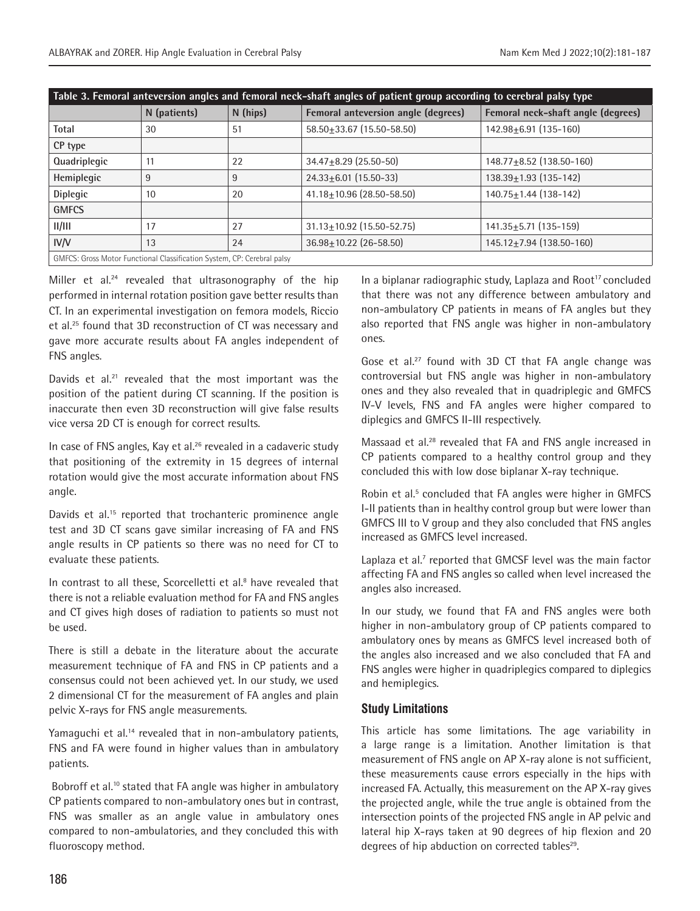| Table 3. Femoral anteversion angles and femoral neck-shaft angles of patient group according to cerebral palsy type |              |          |                                     |                                    |  |  |  |
|---------------------------------------------------------------------------------------------------------------------|--------------|----------|-------------------------------------|------------------------------------|--|--|--|
|                                                                                                                     | N (patients) | N (hips) | Femoral anteversion angle (degrees) | Femoral neck-shaft angle (degrees) |  |  |  |
| Total                                                                                                               | 30           | 51       | $58.50 \pm 33.67$ (15.50-58.50)     | $142.98 + 6.91(135 - 160)$         |  |  |  |
| CP type                                                                                                             |              |          |                                     |                                    |  |  |  |
| Quadriplegic                                                                                                        | 11           | 22       | $34.47 + 8.29$ (25.50-50)           | $148.77 \pm 8.52$ (138.50-160)     |  |  |  |
| Hemiplegic                                                                                                          | 9            | 9        | $24.33 \pm 6.01$ (15.50-33)         | $138.39 \pm 1.93$ (135-142)        |  |  |  |
| Diplegic                                                                                                            | 10           | 20       | $41.18 \pm 10.96$ (28.50-58.50)     | $140.75 \pm 1.44$ (138-142)        |  |  |  |
| <b>GMFCS</b>                                                                                                        |              |          |                                     |                                    |  |  |  |
| II/III                                                                                                              | 17           | 27       | $31.13 + 10.92$ (15.50-52.75)       | 141.35+5.71 (135-159)              |  |  |  |
| IV/V                                                                                                                | 13           | 24       | $36.98 \pm 10.22$ (26-58.50)        | $145.12 \pm 7.94$ (138.50-160)     |  |  |  |
| GMFCS: Gross Motor Functional Classification System, CP: Cerebral palsy                                             |              |          |                                     |                                    |  |  |  |

Miller et al.<sup>24</sup> revealed that ultrasonography of the hip performed in internal rotation position gave better results than CT. In an experimental investigation on femora models, Riccio et al.<sup>25</sup> found that 3D reconstruction of CT was necessary and gave more accurate results about FA angles independent of FNS angles.

Davids et al. $21$  revealed that the most important was the position of the patient during CT scanning. If the position is inaccurate then even 3D reconstruction will give false results vice versa 2D CT is enough for correct results.

In case of FNS angles, Kay et al.<sup>26</sup> revealed in a cadaveric study that positioning of the extremity in 15 degrees of internal rotation would give the most accurate information about FNS angle.

Davids et al.<sup>15</sup> reported that trochanteric prominence angle test and 3D CT scans gave similar increasing of FA and FNS angle results in CP patients so there was no need for CT to evaluate these patients.

In contrast to all these, Scorcelletti et al.<sup>8</sup> have revealed that there is not a reliable evaluation method for FA and FNS angles and CT gives high doses of radiation to patients so must not be used.

There is still a debate in the literature about the accurate measurement technique of FA and FNS in CP patients and a consensus could not been achieved yet. In our study, we used 2 dimensional CT for the measurement of FA angles and plain pelvic X-rays for FNS angle measurements.

Yamaguchi et al.<sup>14</sup> revealed that in non-ambulatory patients, FNS and FA were found in higher values than in ambulatory patients.

Bobroff et al.<sup>10</sup> stated that FA angle was higher in ambulatory CP patients compared to non-ambulatory ones but in contrast, FNS was smaller as an angle value in ambulatory ones compared to non-ambulatories, and they concluded this with fluoroscopy method.

In a biplanar radiographic study, Laplaza and Root<sup>17</sup> concluded that there was not any difference between ambulatory and non-ambulatory CP patients in means of FA angles but they also reported that FNS angle was higher in non-ambulatory ones.

Gose et al.<sup>27</sup> found with 3D CT that FA angle change was controversial but FNS angle was higher in non-ambulatory ones and they also revealed that in quadriplegic and GMFCS IV-V levels, FNS and FA angles were higher compared to diplegics and GMFCS II-III respectively.

Massaad et al.28 revealed that FA and FNS angle increased in CP patients compared to a healthy control group and they concluded this with low dose biplanar X-ray technique.

Robin et al.<sup>5</sup> concluded that FA angles were higher in GMFCS I-II patients than in healthy control group but were lower than GMFCS III to V group and they also concluded that FNS angles increased as GMFCS level increased.

Laplaza et al.<sup>7</sup> reported that GMCSF level was the main factor affecting FA and FNS angles so called when level increased the angles also increased.

In our study, we found that FA and FNS angles were both higher in non-ambulatory group of CP patients compared to ambulatory ones by means as GMFCS level increased both of the angles also increased and we also concluded that FA and FNS angles were higher in quadriplegics compared to diplegics and hemiplegics.

## **Study Limitations**

This article has some limitations. The age variability in a large range is a limitation. Another limitation is that measurement of FNS angle on AP X-ray alone is not sufficient, these measurements cause errors especially in the hips with increased FA. Actually, this measurement on the AP X-ray gives the projected angle, while the true angle is obtained from the intersection points of the projected FNS angle in AP pelvic and lateral hip X-rays taken at 90 degrees of hip flexion and 20 degrees of hip abduction on corrected tables<sup>29</sup>.